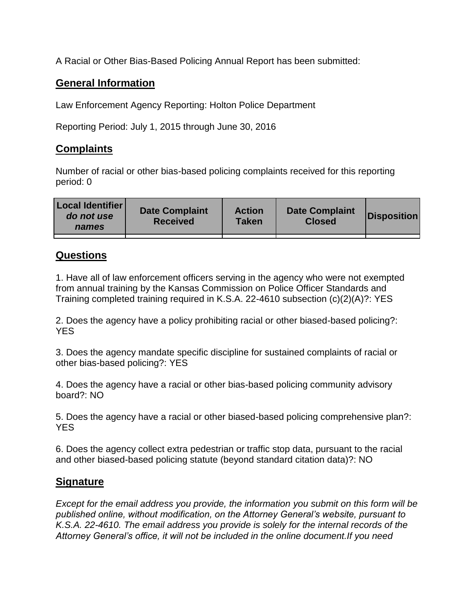A Racial or Other Bias-Based Policing Annual Report has been submitted:

## **General Information**

Law Enforcement Agency Reporting: Holton Police Department

Reporting Period: July 1, 2015 through June 30, 2016

## **Complaints**

Number of racial or other bias-based policing complaints received for this reporting period: 0

| <b>Local Identifier</b><br>do not use<br>names | <b>Date Complaint</b><br><b>Received</b> | <b>Action</b><br><b>Taken</b> | <b>Date Complaint</b><br><b>Closed</b> | Disposition |
|------------------------------------------------|------------------------------------------|-------------------------------|----------------------------------------|-------------|
|                                                |                                          |                               |                                        |             |

## **Questions**

1. Have all of law enforcement officers serving in the agency who were not exempted from annual training by the Kansas Commission on Police Officer Standards and Training completed training required in K.S.A. 22-4610 subsection (c)(2)(A)?: YES

2. Does the agency have a policy prohibiting racial or other biased-based policing?: YES

3. Does the agency mandate specific discipline for sustained complaints of racial or other bias-based policing?: YES

4. Does the agency have a racial or other bias-based policing community advisory board?: NO

5. Does the agency have a racial or other biased-based policing comprehensive plan?: YES

6. Does the agency collect extra pedestrian or traffic stop data, pursuant to the racial and other biased-based policing statute (beyond standard citation data)?: NO

## **Signature**

*Except for the email address you provide, the information you submit on this form will be published online, without modification, on the Attorney General's website, pursuant to K.S.A. 22-4610. The email address you provide is solely for the internal records of the Attorney General's office, it will not be included in the online document.If you need*